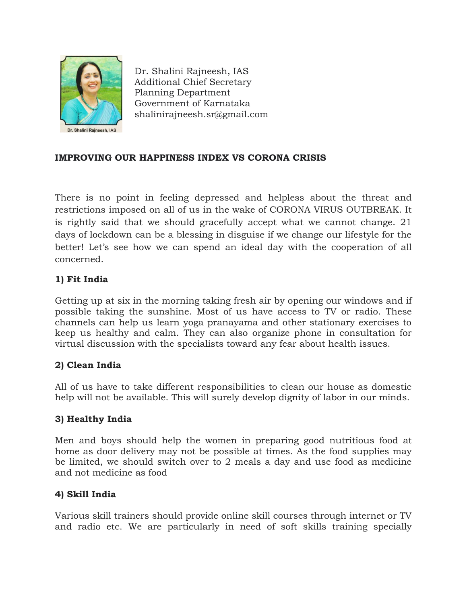

Dr. Shalini Rajneesh, IAS Additional Chief Secretary Planning Department Government of Karnataka shalinirajneesh.sr@gmail.com

## **IMPROVING OUR HAPPINESS INDEX VS CORONA CRISIS**

There is no point in feeling depressed and helpless about the threat and restrictions imposed on all of us in the wake of CORONA VIRUS OUTBREAK. It is rightly said that we should gracefully accept what we cannot change. 21 days of lockdown can be a blessing in disguise if we change our lifestyle for the better! Let's see how we can spend an ideal day with the cooperation of all concerned.

### **1) Fit India**

Getting up at six in the morning taking fresh air by opening our windows and if possible taking the sunshine. Most of us have access to TV or radio. These channels can help us learn yoga pranayama and other stationary exercises to keep us healthy and calm. They can also organize phone in consultation for virtual discussion with the specialists toward any fear about health issues.

### **2) Clean India**

All of us have to take different responsibilities to clean our house as domestic help will not be available. This will surely develop dignity of labor in our minds.

### **3) Healthy India**

Men and boys should help the women in preparing good nutritious food at home as door delivery may not be possible at times. As the food supplies may be limited, we should switch over to 2 meals a day and use food as medicine and not medicine as food

### **4) Skill India**

Various skill trainers should provide online skill courses through internet or TV and radio etc. We are particularly in need of soft skills training specially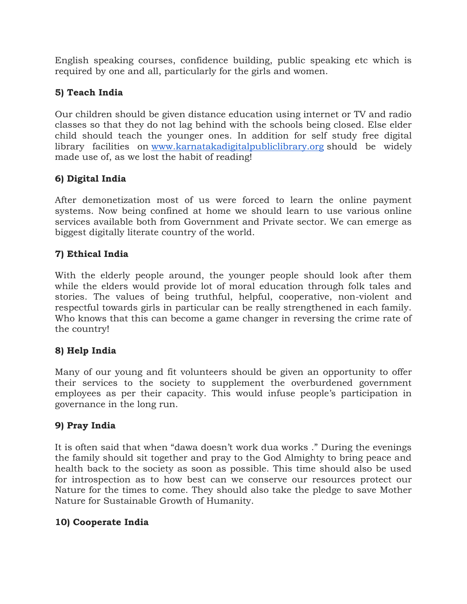English speaking courses, confidence building, public speaking etc which is required by one and all, particularly for the girls and women.

## **5) Teach India**

Our children should be given distance education using internet or TV and radio classes so that they do not lag behind with the schools being closed. Else elder child should teach the younger ones. In addition for self study free digital library facilities on [www.karnatakadigitalpubliclibrary.org](http://www.karnatakadigitalpubliclibrary.org/) should be widely made use of, as we lost the habit of reading!

## **6) Digital India**

After demonetization most of us were forced to learn the online payment systems. Now being confined at home we should learn to use various online services available both from Government and Private sector. We can emerge as biggest digitally literate country of the world.

# **7) Ethical India**

With the elderly people around, the younger people should look after them while the elders would provide lot of moral education through folk tales and stories. The values of being truthful, helpful, cooperative, non-violent and respectful towards girls in particular can be really strengthened in each family. Who knows that this can become a game changer in reversing the crime rate of the country!

## **8) Help India**

Many of our young and fit volunteers should be given an opportunity to offer their services to the society to supplement the overburdened government employees as per their capacity. This would infuse people's participation in governance in the long run.

## **9) Pray India**

It is often said that when "dawa doesn't work dua works ." During the evenings the family should sit together and pray to the God Almighty to bring peace and health back to the society as soon as possible. This time should also be used for introspection as to how best can we conserve our resources protect our Nature for the times to come. They should also take the pledge to save Mother Nature for Sustainable Growth of Humanity.

## **10) Cooperate India**